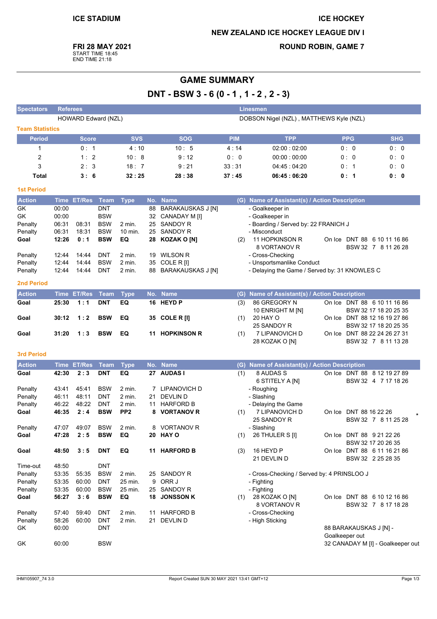# **ICE HOCKEY NEW ZEALAND ICE HOCKEY LEAGUE DIV I**

**ROUND ROBIN, GAME 7** 

**FRI 28 MAY 2021** 

START TIME 18:45<br>END TIME 21:18

# **GAME SUMMARY** DNT - BSW 3 - 6 (0 - 1, 1 - 2, 2 - 3)

| <b>Spectators</b>      |                | <b>Referees</b><br><b>Linesmen</b> |                          |                 |     |                          |            |                                               |  |                                          |                                                       |
|------------------------|----------------|------------------------------------|--------------------------|-----------------|-----|--------------------------|------------|-----------------------------------------------|--|------------------------------------------|-------------------------------------------------------|
|                        |                |                                    | HOWARD Edward (NZL)      |                 |     |                          |            | DOBSON Nigel (NZL), MATTHEWS Kyle (NZL)       |  |                                          |                                                       |
| <b>Team Statistics</b> |                |                                    |                          |                 |     |                          |            |                                               |  |                                          |                                                       |
| <b>Period</b>          |                | <b>Score</b>                       |                          | <b>SVS</b>      |     | <b>SOG</b>               | <b>PIM</b> | <b>TPP</b>                                    |  | <b>PPG</b>                               | <b>SHG</b>                                            |
| 1                      |                | 0: 1                               |                          | 4:10            |     | 10:5                     | 4:14       | 02:00:02:00                                   |  | 0:0                                      | 0:0                                                   |
| $\overline{c}$         |                | 1:2                                |                          | 10:8            |     | 9:12                     | 0: 0       | 00:00:00:00                                   |  | 0:0                                      | 0:0                                                   |
| 3                      |                | 2:3                                |                          | 18:7            |     | 9:21                     | 33:31      | 04.45 04:20                                   |  | 0: 1                                     | 0:0                                                   |
| <b>Total</b>           |                | 3:6                                |                          | 32:25           |     | 28:38                    | 37:45      | 06:45:06:20                                   |  | 0: 1                                     | 0: 0                                                  |
| <b>1st Period</b>      |                |                                    |                          |                 |     |                          |            |                                               |  |                                          |                                                       |
| <b>Action</b>          | <b>Time</b>    | <b>ET/Res</b>                      | Team                     | <b>Type</b>     | No. | <b>Name</b>              |            | (G) Name of Assistant(s) / Action Description |  |                                          |                                                       |
| GK                     | 00:00          |                                    | <b>DNT</b>               |                 | 88  | <b>BARAKAUSKAS J [N]</b> |            | - Goalkeeper in                               |  |                                          |                                                       |
| GK                     | 00:00          |                                    | <b>BSW</b>               |                 | 32  | CANADAY M [I]            |            | - Goalkeeper in                               |  |                                          |                                                       |
| Penalty                | 06:31          | 08:31                              | <b>BSW</b>               | 2 min.          | 25  | <b>SANDOY R</b>          |            | - Boarding / Served by: 22 FRANICH J          |  |                                          |                                                       |
| Penalty                | 06:31          | 18:31                              | <b>BSW</b>               | 10 min.         | 25  | <b>SANDOY R</b>          |            | - Misconduct                                  |  |                                          |                                                       |
| Goal                   | 12:26          | 0:1                                | <b>BSW</b>               | EQ              |     | 28 KOZAK O [N]           | (2)        | 11 HOPKINSON R<br>8 VORTANOV R                |  |                                          | On Ice DNT 88 6 10 11 16 86<br>BSW 32 7 8 11 26 28    |
| Penalty                | 12:44          | 14:44                              | <b>DNT</b>               | 2 min.          | 19  | <b>WILSON R</b>          |            | - Cross-Checking                              |  |                                          |                                                       |
| Penalty                | 12:44          | 14:44                              | <b>BSW</b>               | 2 min.          | 35  | COLE R III               |            | - Unsportsmanlike Conduct                     |  |                                          |                                                       |
| Penalty                | 12:44          | 14:44                              | <b>DNT</b>               | 2 min.          | 88  | BARAKAUSKAS J [N]        |            | - Delaying the Game / Served by: 31 KNOWLES C |  |                                          |                                                       |
| <b>2nd Period</b>      |                |                                    |                          |                 |     |                          |            |                                               |  |                                          |                                                       |
| <b>Action</b>          |                | Time ET/Res                        | Team                     | <b>Type</b>     |     | No. Name                 |            | (G) Name of Assistant(s) / Action Description |  |                                          |                                                       |
| Goal                   | 25:30          | 1:1                                | <b>DNT</b>               | EQ              |     | 16 HEYD P                | (3)        | 86 GREGORY N                                  |  |                                          | On Ice DNT 88 6 10 11 16 86                           |
|                        |                |                                    | <b>BSW</b>               |                 |     |                          |            | 10 ENRIGHT M [N]<br>20 HAY O                  |  |                                          | BSW 32 17 18 20 25 35                                 |
| Goal                   | 30:12          | 1:2                                |                          | EQ              |     | 35 COLE R [I]            | (1)        | 25 SANDOY R                                   |  |                                          | On Ice DNT 88 12 16 19 27 86<br>BSW 32 17 18 20 25 35 |
| Goal                   | 31:20          | 1:3                                | <b>BSW</b>               | EQ              |     | 11 HOPKINSON R           | (1)        | 7 LIPANOVICH D<br>28 KOZAK O [N]              |  |                                          | On Ice DNT 88 22 24 26 27 31<br>BSW 32 7 8 11 13 28   |
| <b>3rd Period</b>      |                |                                    |                          |                 |     |                          |            |                                               |  |                                          |                                                       |
| <b>Action</b>          |                | Time ET/Res                        | Team                     | <b>Type</b>     |     | No. Name                 |            | (G) Name of Assistant(s) / Action Description |  |                                          |                                                       |
| Goal                   | 42:30          | 2:3                                | <b>DNT</b>               | EQ              |     | 27 AUDAS I               | (1)        | 8 AUDAS S                                     |  |                                          | On Ice DNT 88 8 12 19 27 89                           |
|                        |                |                                    |                          |                 |     |                          |            | 6 STITELY A [N]                               |  |                                          | BSW 32 4 7 17 18 26                                   |
| Penalty                | 43:41          | 45.41                              | <b>BSW</b>               | 2 min.          |     | 7 LIPANOVICH D           |            | - Roughing                                    |  |                                          |                                                       |
| Penalty                | 46:11          | 48:11                              | DNT                      | 2 min.          | 21  | <b>DEVLIND</b>           |            | - Slashing                                    |  |                                          |                                                       |
| Penalty                | 46:22          | 48:22                              | <b>DNT</b>               | 2 min.          | 11  | <b>HARFORD B</b>         |            | - Delaying the Game                           |  |                                          |                                                       |
| Goal                   | 46:35          | 2:4                                | <b>BSW</b>               | PP <sub>2</sub> |     | 8 VORTANOV R             | (1)        | 7 LIPANOVICH D                                |  | On Ice DNT 88 16 22 26                   |                                                       |
|                        |                |                                    |                          |                 |     |                          |            | 25 SANDOY R                                   |  |                                          | BSW 32 7 8 11 25 28                                   |
| Penalty<br>Goal        | 47:07<br>47:28 | 49:07<br>2:5                       | <b>BSW</b><br><b>BSW</b> | 2 min.<br>EQ    |     | 8 VORTANOV R<br>20 HAY O | (1)        | - Slashing<br>26 THULER S [I]                 |  |                                          | On Ice DNT 88 9 21 22 26                              |
|                        |                |                                    |                          |                 |     |                          |            |                                               |  |                                          | BSW 32 17 20 26 35                                    |
| Goal                   | 48:50          | 3:5                                | <b>DNT</b>               | EQ              |     | 11 HARFORD B             | (3)        | 16 HEYD P                                     |  |                                          | On Ice DNT 88 6 11 16 21 86                           |
|                        |                |                                    |                          |                 |     |                          |            | 21 DEVLIN D                                   |  |                                          | BSW 32 2 25 28 35                                     |
| Time-out               | 48:50          |                                    | <b>DNT</b>               |                 |     |                          |            |                                               |  |                                          |                                                       |
| Penalty                | 53:35          | 55:35                              | <b>BSW</b>               | 2 min.          |     | 25 SANDOY R              |            | - Cross-Checking / Served by: 4 PRINSLOO J    |  |                                          |                                                       |
| Penalty                | 53:35          | 60:00                              | <b>DNT</b>               | 25 min.         | 9   | ORR J                    |            | - Fighting                                    |  |                                          |                                                       |
| Penalty                | 53:35          | 60:00                              | <b>BSW</b>               | 25 min.         |     | 25 SANDOY R              |            | - Fighting                                    |  |                                          |                                                       |
| Goal                   | 56:27          | 3:6                                | <b>BSW</b>               | EQ              |     | 18 JONSSON K             |            | (1) 28 KOZAK O [N]<br>8 VORTANOV R            |  |                                          | On Ice DNT 88 6 10 12 16 86<br>BSW 32 7 8 17 18 28    |
| Penalty                | 57:40          | 59:40                              | <b>DNT</b>               | 2 min.          |     | 11 HARFORD B             |            | - Cross-Checking                              |  |                                          |                                                       |
| Penalty                | 58:26          | 60:00                              | <b>DNT</b>               | 2 min.          |     | 21 DEVLIN D              |            | - High Sticking                               |  |                                          |                                                       |
| GK                     | 60:00          |                                    | <b>DNT</b>               |                 |     |                          |            |                                               |  | 88 BARAKAUSKAS J [N] -<br>Goalkeeper out |                                                       |
| GK                     | 60:00          |                                    | BSW                      |                 |     |                          |            |                                               |  |                                          | 32 CANADAY M [I] - Goalkeeper out                     |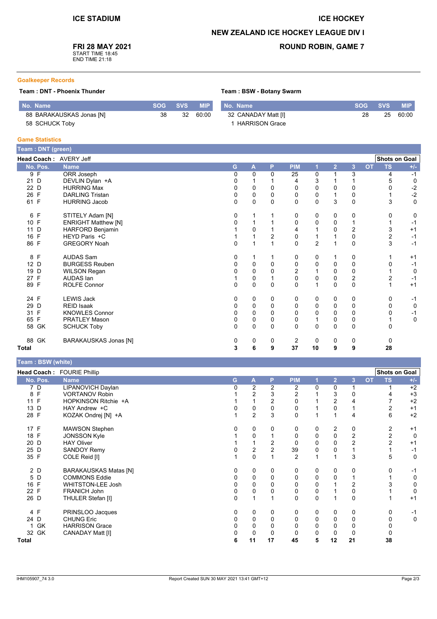### **ICE HOCKEY**

## **NEW ZEALAND ICE HOCKEY LEAGUE DIV I**

Team: BSW - Botany Swarm

## **FRI 28 MAY 2021**

START TIME 18:45<br>END TIME 21:18

## **ROUND ROBIN, GAME 7**

#### **Goalkeeper Records**

#### Team: DNT - Phoenix Thunder

| No. Name                 |    | SOG SVS | <b>MIP</b> | No. Name              | SOG SVS |    | <b>MIP</b> |
|--------------------------|----|---------|------------|-----------------------|---------|----|------------|
| 88 BARAKAUSKAS Jonas [N] | 38 | -32     | 60:00      | 32 CANADAY Matt [I]   | 28      | 25 | 60:00      |
| 58 SCHUCK Toby           |    |         |            | <b>HARRISON Grace</b> |         |    |            |

### **Game Statistics**

|              | Team : DNT (green) |                            |   |              |             |              |              |                |                |                |           |               |             |
|--------------|--------------------|----------------------------|---|--------------|-------------|--------------|--------------|----------------|----------------|----------------|-----------|---------------|-------------|
|              |                    | Head Coach: AVERY Jeff     |   |              |             |              |              |                |                |                |           | Shots on Goal |             |
|              | No. Pos.           | <b>Name</b>                | G |              | A           | P            | <b>PIM</b>   | 1              | $\overline{2}$ | 3              | <b>OT</b> | <b>TS</b>     | $+/-$       |
|              | 9 F                | ORR Joseph                 |   | 0            | 0           | $\Omega$     | 25           | 0              |                | 3              |           | 4             | $-1$        |
| 21 D         |                    | DEVLIN Dylan +A            |   | 0            |             |              | 4            | 3              |                |                |           |               | $\mathbf 0$ |
|              | 22 D               | <b>HURRING Max</b>         |   | 0            | $\mathbf 0$ | $\Omega$     | $\Omega$     | 0              | 0              | 0              |           |               | $-2$        |
| 26 F         |                    | <b>DARLING Tristan</b>     |   | 0            | 0           | $\Omega$     | 0            | 0              |                | 0              |           |               | $-2$        |
| 61 F         |                    | <b>HURRING Jacob</b>       |   | 0            | $\Omega$    | $\mathbf{0}$ | $\mathbf{0}$ | $\mathbf{0}$   | 3              | $\mathbf{0}$   |           | 3             | $\mathbf 0$ |
|              | 6 F                | STITELY Adam [N]           |   | 0            |             |              | 0            | 0              | 0              | 0              |           | 0             | 0           |
| 10 F         |                    | <b>ENRIGHT Matthew [N]</b> |   | 0            |             |              | 0            | 0              | 0              | 1              |           |               | $-1$        |
|              | 11 D               | HARFORD Benjamin           |   |              | 0           |              | 4            |                | 0              | $\overline{2}$ |           | 3             | $+1$        |
| 16           | $\mathsf{F}$       | HEYD Paris +C              |   |              |             | 2            | 0            |                |                | 0              |           | 2             | $-1$        |
| 86 F         |                    | <b>GREGORY Noah</b>        |   | 0            |             |              | $\mathbf{0}$ | $\overline{2}$ |                | $\mathbf 0$    |           | 3             | $-1$        |
|              | 8 F                | <b>AUDAS Sam</b>           |   | 0            | 1           |              | 0            | 0              |                | $\mathbf 0$    |           |               | $+1$        |
|              | 12 D               | <b>BURGESS Reuben</b>      |   | 0            | 0           | $\Omega$     | 0            | 0              | 0              | 0              |           |               | $-1$        |
|              | 19 D               | <b>WILSON Regan</b>        |   |              | 0           | 0            | $\mathbf 2$  |                | 0              | 0              |           |               | $\mathbf 0$ |
| 27 F         |                    | AUDAS Ian                  |   |              | 0           |              | $\mathbf 0$  | 0              | 0              | $\overline{c}$ |           |               | $-1$        |
| 89 F         |                    | ROLFE Connor               |   | $\Omega$     | 0           | $\Omega$     | $\Omega$     | 1              | $\Omega$       | $\mathbf{0}$   |           |               | $+1$        |
| 24 F         |                    | <b>LEWIS Jack</b>          |   | 0            | 0           | 0            | 0            | 0              | 0              | 0              |           | 0             | $-1$        |
| 29 D         |                    | <b>REID Isaak</b>          |   | 0            | 0           | 0            | 0            | 0              | 0              | 0              |           | 0             | $\mathbf 0$ |
| 31 F         |                    | <b>KNOWLES Connor</b>      |   | 0            | 0           | $\mathbf{0}$ | $\mathbf{0}$ | $\Omega$       | 0              | $\mathbf{0}$   |           |               | $-1$        |
| 65 F         |                    | <b>PRATLEY Mason</b>       |   | 0            | 0           | 0            | $\pmb{0}$    | 1              | 0              | 0              |           |               | $\mathbf 0$ |
|              | 58 GK              | <b>SCHUCK Toby</b>         |   | $\mathbf{0}$ | $\Omega$    | $\mathbf{0}$ | $\mathbf{0}$ | $\Omega$       | 0              | $\mathbf{0}$   |           | 0             |             |
|              | 88 GK              | BARAKAUSKAS Jonas [N]      |   | 0            | 0           | 0            | 2            | 0              | 0              | $\mathbf 0$    |           | 0             |             |
| <b>Total</b> |                    |                            |   | 3            | 6           | 9            | 37           | 10             | 9              | 9              |           | 28            |             |

## $T<sub>comm</sub>$ : DCW (white)

|              | <b>I editi</b> . DOW (Wille) |                              |          |          |    |                |          |                |             |           |                      |             |
|--------------|------------------------------|------------------------------|----------|----------|----|----------------|----------|----------------|-------------|-----------|----------------------|-------------|
|              |                              | Head Coach: FOURIE Phillip   |          |          |    |                |          |                |             |           | <b>Shots on Goal</b> |             |
|              | No. Pos.                     | <b>Name</b>                  | G        | A        | P  | <b>PIM</b>     |          | $\overline{2}$ | 3           | <b>OT</b> | TS                   | $+/-$       |
|              | 7 D                          | LIPANOVICH Daylan            | 0        | 2        | 2  | 2              | 0        | 0              |             |           |                      | $+2$        |
|              | 8 F                          | <b>VORTANOV Robin</b>        |          | 2        | 3  | 2              |          | 3              | 0           |           |                      | $+3$        |
| 11 F         |                              | HOPKINSON Ritchie +A         |          |          |    | $\Omega$       |          | 2              |             |           |                      | $+2$        |
| 13 D         |                              | HAY Andrew +C                |          | 0        | 0  | 0              |          | 0              |             |           |                      | $+1$        |
| 28 F         |                              | KOZAK Ondrej [N] +A          |          | 2        | 3  | 0              |          |                | 4           |           | 6                    | $+2$        |
| 17 F         |                              | <b>MAWSON Stephen</b>        |          | 0        | 0  | 0              | 0        | 2              | 0           |           | 2                    | $+1$        |
| 18 F         |                              | <b>JONSSON Kyle</b>          |          |          |    | 0              | 0        | 0              | 2           |           | 2                    | 0           |
| 20 D         |                              | <b>HAY Oliver</b>            |          |          |    | 0              | 0        | 0              | 2           |           | $\overline{2}$       | $+1$        |
| 25 D         |                              | <b>SANDOY Remy</b>           |          | 2        |    | 39             | 0        | 0              |             |           |                      | -1          |
| 35 F         |                              | COLE Reid [I]                |          | $\Omega$ |    | $\overline{2}$ |          |                | 3           |           | 5                    | 0           |
|              | 2 D                          | <b>BARAKAUSKAS Matas [N]</b> | 0        | 0        | 0  | 0              | 0        | 0              | 0           |           |                      | -1          |
|              | 5 D                          | <b>COMMONS Eddie</b>         | 0        | 0        | 0  | 0              | 0        | 0              |             |           |                      | 0           |
| 16 F         |                              | <b>WHITSTON-LEE Josh</b>     |          | 0        | 0  | 0              | 0        |                | 2           |           |                      | 0           |
| 22 F         |                              | FRANICH John                 | 0        | 0        | 0  | 0              | 0        |                | 0           |           |                      | 0           |
| 26 D         |                              | THULER Stefan [I]            | $\Omega$ |          |    | $\Omega$       | $\Omega$ |                | $\mathbf 0$ |           |                      | $+1$        |
|              | 4 F                          | PRINSLOO Jacques             | 0        | 0        | 0  | 0              | 0        | 0              | 0           |           |                      | -1          |
| 24 D         |                              | <b>CHUNG Eric</b>            | 0        | 0        | 0  | 0              | 0        | 0              | $\mathbf 0$ |           |                      | $\mathbf 0$ |
|              | 1 GK                         | <b>HARRISON Grace</b>        |          | 0        | 0  | 0              | 0        | 0              | 0           |           |                      |             |
|              | 32 GK                        | CANADAY Matt [I]             |          |          | 0  |                | 0        | 0              | 0           |           |                      |             |
| <b>Total</b> |                              |                              | 6        | 11       | 17 | 45             | 5        | 12             | 21          |           | 38                   |             |